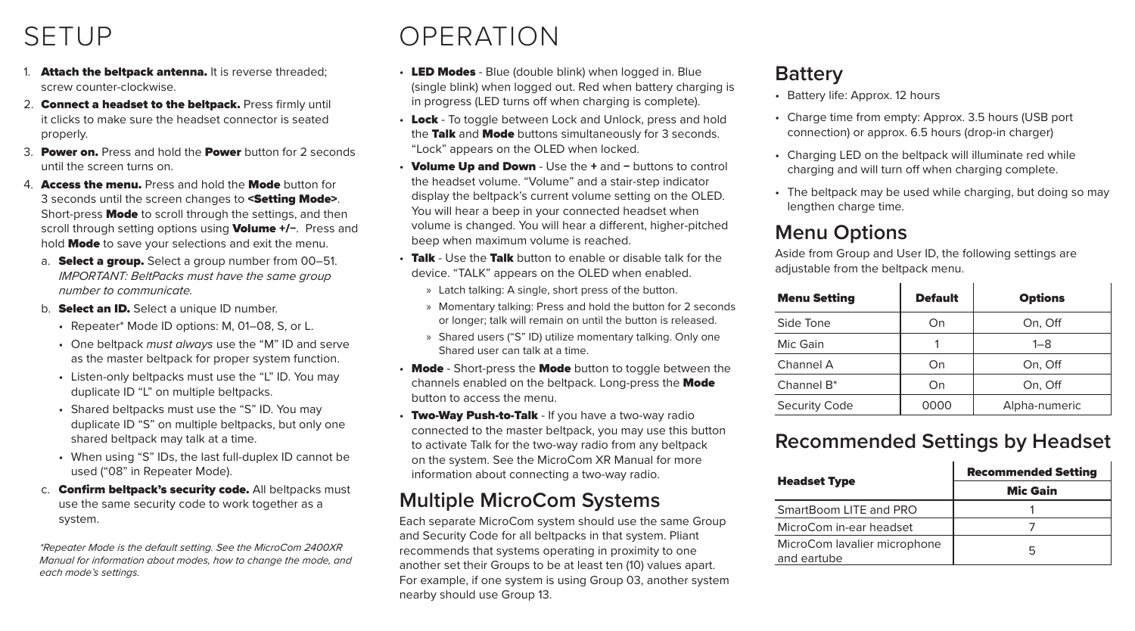### SETUP

- 1. Attach the beltpack antenna. It is reverse threaded; screw counter-clockwise.
- 2. Connect a headset to the beltpack. Press firmly until it clicks to make sure the headset connector is seated properly.
- 3. Power on. Press and hold the Power button for 2 seconds until the screen turns on.
- 4. **Access the menu.** Press and hold the **Mode** button for 3 seconds until the screen changes to <Setting Mode>. Short-press **Mode** to scroll through the settings, and then scroll through setting options using Volume +/−. Press and hold Mode to save your selections and exit the menu.
	- a. **Select a group.** Select a group number from 00-51. *IMPORTANT: BeltPacks must have the same group number to communicate.*
	- b. **Select an ID.** Select a unique ID number.
		- Repeater\* Mode ID options: M, 01–08, S, or L.
		- One beltpack *must always* use the "M" ID and serve as the master beltpack for proper system function.
		- Listen-only beltpacks must use the "L" ID. You may duplicate ID "L" on multiple beltpacks.
		- Shared beltpacks must use the "S" ID. You may duplicate ID "S" on multiple beltpacks, but only one shared beltpack may talk at a time.
		- When using "S" IDs, the last full-duplex ID cannot be used ("08" in Repeater Mode).
	- c. **Confirm beltpack's security code.** All beltpacks must use the same security code to work together as a system.

*\*Repeater Mode is the default setting. See the MicroCom 2400XR Manual for information about modes, how to change the mode, and each mode's settings.*

### OPERATION

- LED Modes Blue (double blink) when logged in. Blue (single blink) when logged out. Red when battery charging is in progress (LED turns off when charging is complete).
- Lock To toggle between Lock and Unlock, press and hold the Talk and Mode buttons simultaneously for 3 seconds. "Lock" appears on the OLED when locked.
- Volume Up and Down Use the + and − buttons to control the headset volume. "Volume" and a stair-step indicator display the beltpack's current volume setting on the OLED. You will hear a beep in your connected headset when volume is changed. You will hear a different, higher-pitched beep when maximum volume is reached.
- Talk Use the Talk button to enable or disable talk for the device. "TALK" appears on the OLED when enabled.
	- » Latch talking: A single, short press of the button.
	- » Momentary talking: Press and hold the button for 2 seconds or longer; talk will remain on until the button is released.
	- » Shared users ("S" ID) utilize momentary talking. Only one Shared user can talk at a time.
- Mode Short-press the Mode button to toggle between the channels enabled on the beltpack. Long-press the **Mode** button to access the menu.
- Two-Way Push-to-Talk If you have a two-way radio connected to the master beltpack, you may use this button to activate Talk for the two-way radio from any beltpack on the system. See the MicroCom XR Manual for more information about connecting a two-way radio.

### **Multiple MicroCom Systems**

Each separate MicroCom system should use the same Group and Security Code for all beltpacks in that system. Pliant recommends that systems operating in proximity to one another set their Groups to be at least ten (10) values apart. For example, if one system is using Group 03, another system nearby should use Group 13.

#### **Battery**

- Battery life: Approx. 12 hours
- Charge time from empty: Approx. 3.5 hours (USB port connection) or approx. 6.5 hours (drop-in charger)
- Charging LED on the beltpack will illuminate red while charging and will turn off when charging complete.
- The beltpack may be used while charging, but doing so may lengthen charge time.

### **Menu Options**

Aside from Group and User ID, the following settings are adjustable from the beltpack menu.

| <b>Menu Setting</b>    | <b>Default</b> | <b>Options</b> |
|------------------------|----------------|----------------|
| Side Tone              | On             | On, Off        |
| Mic Gain               |                | $1 - 8$        |
| Channel A              | On             | On, Off        |
| Channel B <sup>*</sup> | On             | On, Off        |
| <b>Security Code</b>   | 0000           | Alpha-numeric  |

#### **Recommended Settings by Headset**

|                                             | <b>Recommended Setting</b> |
|---------------------------------------------|----------------------------|
| <b>Headset Type</b>                         | Mic Gain                   |
| SmartBoom LITE and PRO                      |                            |
| MicroCom in-ear headset                     |                            |
| MicroCom lavalier microphone<br>and eartube | г,                         |